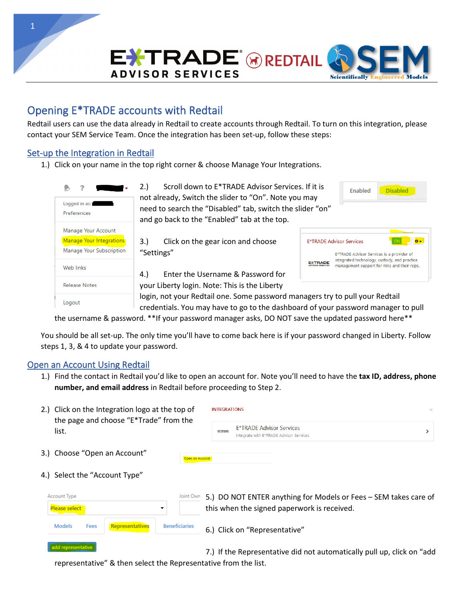**ADVISOR SERVICES** 



## Opening E\*TRADE accounts with Redtail

Redtail users can use the data already in Redtail to create accounts through Redtail. To turn on this integration, please contact your SEM Service Team. Once the integration has been set-up, follow these steps:

## Set-up the Integration in Redtail

1.) Click on your name in the top right corner & choose Manage Your Integrations.



2.) Scroll down to E\*TRADE Advisor Services. If it is not already, Switch the slider to "On". Note you may need to search the "Disabled" tab, switch the slider "on" and go back to the "Enabled" tab at the top.

3.) Click on the gear icon and choose "Settings"

**E\*TRADE Advisor Services** E\*TRADE Advisor Services is a provider of integrated technology, custody, and practice **EXTRADE** management support for RIAs and their reps.

**Disabled** 

Enabled

4.) Enter the Username & Password for your Liberty login. Note: This is the Liberty

login, not your Redtail one. Some password managers try to pull your Redtail credentials. You may have to go to the dashboard of your password manager to pull

the username & password. \*\*If your password manager asks, DO NOT save the updated password here\*\*

You should be all set-up. The only time you'll have to come back here is if your password changed in Liberty. Follow steps 1, 3, & 4 to update your password.

## Open an Account Using Redtail

1.) Find the contact in Redtail you'd like to open an account for. Note you'll need to have the **tax ID, address, phone number, and email address** in Redtail before proceeding to Step 2.

| 2.) Click on the Integration logo at the top of                  | <b>INTEGRATIONS</b><br>$\times$                                                                                 |  |  |  |  |
|------------------------------------------------------------------|-----------------------------------------------------------------------------------------------------------------|--|--|--|--|
| the page and choose "E*Trade" from the<br>list.                  | <b>E*TRADE Advisor Services</b><br><b>EITRADE</b><br>Integrate with E*TRADE Advisor Services                    |  |  |  |  |
| 3.) Choose "Open an Account"<br>Open an Account                  |                                                                                                                 |  |  |  |  |
| 4.) Select the "Account Type"                                    |                                                                                                                 |  |  |  |  |
| Account Type<br>Joint Own<br>Please select<br>▼                  | 5.) DO NOT ENTER anything for Models or Fees - SEM takes care of<br>this when the signed paperwork is received. |  |  |  |  |
| <b>Models</b><br>Representatives<br><b>Beneficiaries</b><br>Fees | 6.) Click on "Representative"                                                                                   |  |  |  |  |

add representative 7.) If the Representative did not automatically pull up, click on "add representative" & then select the Representative from the list.